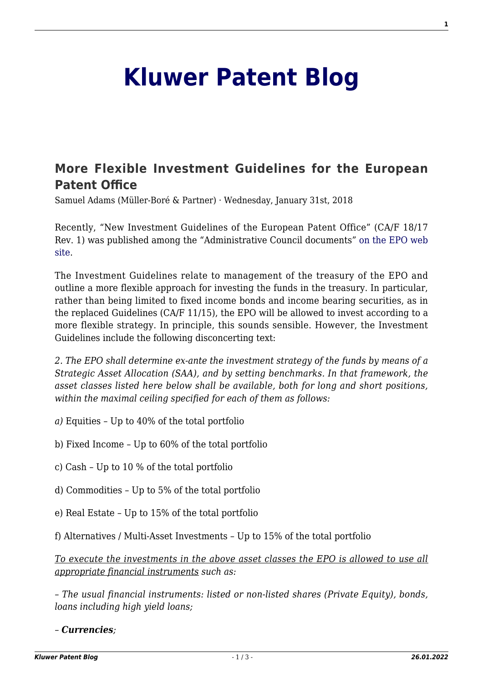## **[Kluwer Patent Blog](http://patentblog.kluweriplaw.com/)**

## **[More Flexible Investment Guidelines for the European](http://patentblog.kluweriplaw.com/2018/01/31/flexible-investment-guidelines-european-patent-office/) [Patent Office](http://patentblog.kluweriplaw.com/2018/01/31/flexible-investment-guidelines-european-patent-office/)**

Samuel Adams (Müller-Boré & Partner) · Wednesday, January 31st, 2018

Recently, "New Investment Guidelines of the European Patent Office" (CA/F 18/17 Rev. 1) was published among the "Administrative Council documents" [on the EPO web](https://www.epo.org/modules/epoweb/acdocument/epoweb2/297/en/CA-F_18-17_Rev._1_en.pdf) [site](https://www.epo.org/modules/epoweb/acdocument/epoweb2/297/en/CA-F_18-17_Rev._1_en.pdf).

The Investment Guidelines relate to management of the treasury of the EPO and outline a more flexible approach for investing the funds in the treasury. In particular, rather than being limited to fixed income bonds and income bearing securities, as in the replaced Guidelines (CA/F 11/15), the EPO will be allowed to invest according to a more flexible strategy. In principle, this sounds sensible. However, the Investment Guidelines include the following disconcerting text:

*2. The EPO shall determine ex-ante the investment strategy of the funds by means of a Strategic Asset Allocation (SAA), and by setting benchmarks. In that framework, the asset classes listed here below shall be available, both for long and short positions, within the maximal ceiling specified for each of them as follows:*

- *a)* Equities Up to 40% of the total portfolio
- b) Fixed Income Up to 60% of the total portfolio
- c) Cash Up to 10 % of the total portfolio
- d) Commodities Up to 5% of the total portfolio
- e) Real Estate Up to 15% of the total portfolio
- f) Alternatives / Multi-Asset Investments Up to 15% of the total portfolio

*To execute the investments in the above asset classes the EPO is allowed to use all appropriate financial instruments such as:*

*– The usual financial instruments: listed or non-listed shares (Private Equity), bonds, loans including high yield loans;*

*– Currencies;*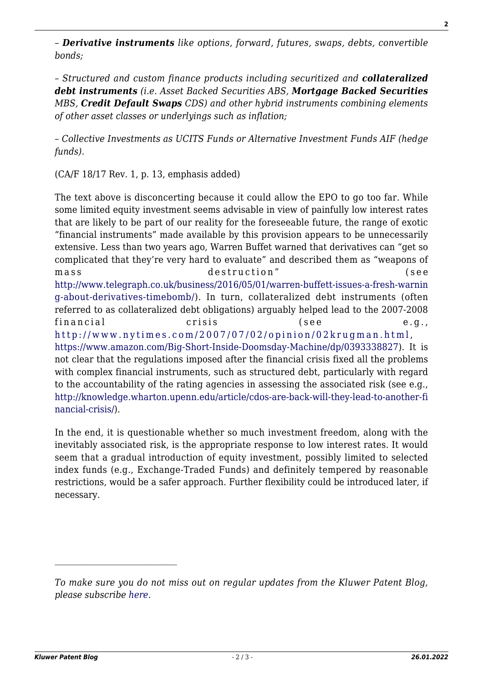*– Derivative instruments like options, forward, futures, swaps, debts, convertible bonds;*

*– Structured and custom finance products including securitized and collateralized debt instruments (i.e. Asset Backed Securities ABS, Mortgage Backed Securities MBS, Credit Default Swaps CDS) and other hybrid instruments combining elements of other asset classes or underlyings such as inflation;*

*– Collective Investments as UCITS Funds or Alternative Investment Funds AIF (hedge funds).*

(CA/F 18/17 Rev. 1, p. 13, emphasis added)

The text above is disconcerting because it could allow the EPO to go too far. While some limited equity investment seems advisable in view of painfully low interest rates that are likely to be part of our reality for the foreseeable future, the range of exotic "financial instruments" made available by this provision appears to be unnecessarily extensive. Less than two years ago, Warren Buffet warned that derivatives can "get so complicated that they're very hard to evaluate" and described them as "weapons of mass destruction" (see [http://www.telegraph.co.uk/business/2016/05/01/warren-buffett-issues-a-fresh-warnin](http://www.telegraph.co.uk/business/2016/05/01/warren-buffett-issues-a-fresh-warning-about-derivatives-timebomb/) [g-about-derivatives-timebomb/](http://www.telegraph.co.uk/business/2016/05/01/warren-buffett-issues-a-fresh-warning-about-derivatives-timebomb/)). In turn, collateralized debt instruments (often referred to as collateralized debt obligations) arguably helped lead to the 2007-2008 financial crisis (see e.g., <http://www.nytimes.com/2007/07/02/opinion/02krugman.html>, <https://www.amazon.com/Big-Short-Inside-Doomsday-Machine/dp/0393338827>). It is not clear that the regulations imposed after the financial crisis fixed all the problems with complex financial instruments, such as structured debt, particularly with regard to the accountability of the rating agencies in assessing the associated risk (see e.g., [http://knowledge.wharton.upenn.edu/article/cdos-are-back-will-they-lead-to-another-fi](http://knowledge.wharton.upenn.edu/article/cdos-are-back-will-they-lead-to-another-financial-crisis/) [nancial-crisis/\)](http://knowledge.wharton.upenn.edu/article/cdos-are-back-will-they-lead-to-another-financial-crisis/).

In the end, it is questionable whether so much investment freedom, along with the inevitably associated risk, is the appropriate response to low interest rates. It would seem that a gradual introduction of equity investment, possibly limited to selected index funds (e.g., Exchange-Traded Funds) and definitely tempered by reasonable restrictions, would be a safer approach. Further flexibility could be introduced later, if necessary.

*To make sure you do not miss out on regular updates from the Kluwer Patent Blog, please subscribe [here.](http://patentblog.kluweriplaw.com/newsletter)*